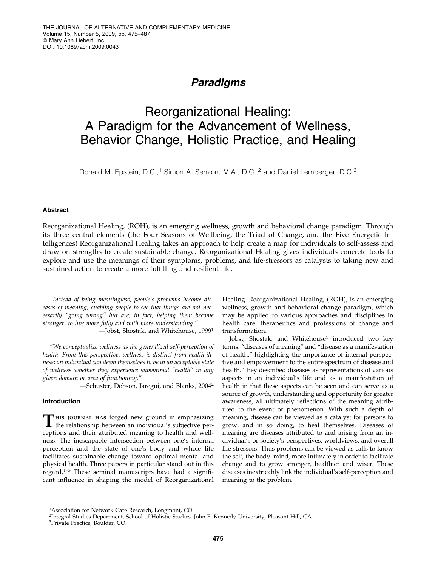### **Paradigms**

## Reorganizational Healing: A Paradigm for the Advancement of Wellness, Behavior Change, Holistic Practice, and Healing

Donald M. Epstein, D.C.,<sup>1</sup> Simon A. Senzon, M.A., D.C.,<sup>2</sup> and Daniel Lemberger, D.C.<sup>3</sup>

### Abstract

Reorganizational Healing, (ROH), is an emerging wellness, growth and behavioral change paradigm. Through its three central elements (the Four Seasons of Wellbeing, the Triad of Change, and the Five Energetic Intelligences) Reorganizational Healing takes an approach to help create a map for individuals to self-assess and draw on strengths to create sustainable change. Reorganizational Healing gives individuals concrete tools to explore and use the meanings of their symptoms, problems, and life-stressors as catalysts to taking new and sustained action to create a more fulfilling and resilient life.

''Instead of being meaningless, people's problems become diseases of meaning, enabling people to see that things are not necessarily ''going wrong'' but are, in fact, helping them become stronger, to live more fully and with more understanding.''

—Jobst, Shostak, and Whitehouse, 19991

''We conceptualize wellness as the generalized self-perception of health. From this perspective, wellness is distinct from health-illness; an individual can deem themselves to be in an acceptable state of wellness whether they experience suboptimal ''health'' in any given domain or area of functioning.''

—Schuster, Dobson, Jaregui, and Blanks, 20042

### Introduction

THIS JOURNAL HAS forged new ground in emphasizing<br>the relationship between an individual's subjective perceptions and their attributed meaning to health and wellness. The inescapable intersection between one's internal perception and the state of one's body and whole life facilitates sustainable change toward optimal mental and physical health. Three papers in particular stand out in this regard.1–3 These seminal manuscripts have had a significant influence in shaping the model of Reorganizational Healing. Reorganizational Healing, (ROH), is an emerging wellness, growth and behavioral change paradigm, which may be applied to various approaches and disciplines in health care, therapeutics and professions of change and transformation.

Jobst, Shostak, and Whitehouse<sup>1</sup> introduced two key terms: ''diseases of meaning'' and ''disease as a manifestation of health,'' highlighting the importance of internal perspective and empowerment to the entire spectrum of disease and health. They described diseases as representations of various aspects in an individual's life and as a manifestation of health in that these aspects can be seen and can serve as a source of growth, understanding and opportunity for greater awareness, all ultimately reflections of the meaning attributed to the event or phenomenon. With such a depth of meaning, disease can be viewed as a catalyst for persons to grow, and in so doing, to heal themselves. Diseases of meaning are diseases attributed to and arising from an individual's or society's perspectives, worldviews, and overall life stressors. Thus problems can be viewed as calls to know the self, the body–mind, more intimately in order to facilitate change and to grow stronger, healthier and wiser. These diseases inextricably link the individual's self-perception and meaning to the problem.

<sup>1</sup>Association for Network Care Research, Longmont, CO.

<sup>2</sup>Integral Studies Department, School of Holistic Studies, John F. Kennedy University, Pleasant Hill, CA. 3Private Practice, Boulder, CO.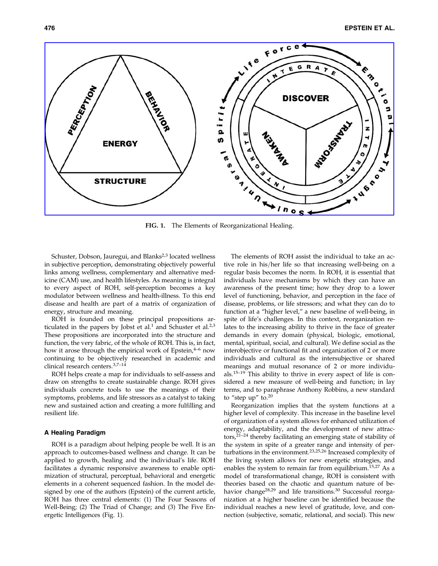

Schuster, Dobson, Jauregui, and Blanks<sup>2,3</sup> located wellness in subjective perception, demonstrating objectively powerful links among wellness, complementary and alternative medicine (CAM) use, and health lifestyles. As meaning is integral to every aspect of ROH, self-perception becomes a key modulator between wellness and health-illness. To this end disease and health are part of a matrix of organization of energy, structure and meaning.

ROH is founded on these principal propositions articulated in the papers by Jobst et al.<sup>1</sup> and Schuster et al.<sup>2,3</sup> These propositions are incorporated into the structure and function, the very fabric, of the whole of ROH. This is, in fact, how it arose through the empirical work of Epstein, $4-6$  now continuing to be objectively researched in academic and clinical research centers.3,7–14

ROH helps create a map for individuals to self-assess and draw on strengths to create sustainable change. ROH gives individuals concrete tools to use the meanings of their symptoms, problems, and life stressors as a catalyst to taking new and sustained action and creating a more fulfilling and resilient life.

### A Healing Paradigm

ROH is a paradigm about helping people be well. It is an approach to outcomes-based wellness and change. It can be applied to growth, healing and the individual's life. ROH facilitates a dynamic responsive awareness to enable optimization of structural, perceptual, behavioral and energetic elements in a coherent sequenced fashion. In the model designed by one of the authors (Epstein) of the current article, ROH has three central elements: (1) The Four Seasons of Well-Being; (2) The Triad of Change; and (3) The Five Energetic Intelligences (Fig. 1).

The elements of ROH assist the individual to take an active role in his/her life so that increasing well-being on a regular basis becomes the norm. In ROH, it is essential that individuals have mechanisms by which they can have an awareness of the present time; how they drop to a lower level of functioning, behavior, and perception in the face of disease, problems, or life stressors; and what they can do to function at a ''higher level,'' a new baseline of well-being, in spite of life's challenges. In this context, reorganization relates to the increasing ability to thrive in the face of greater demands in every domain (physical, biologic, emotional, mental, spiritual, social, and cultural). We define social as the interobjective or functional fit and organization of 2 or more individuals and cultural as the intersubjective or shared meanings and mutual resonance of 2 or more individuals.<sup>15–19</sup> This ability to thrive in every aspect of life is considered a new measure of well-being and function; in lay terms, and to paraphrase Anthony Robbins, a new standard to "step up" to.<sup>20</sup>

Reorganization implies that the system functions at a higher level of complexity. This increase in the baseline level of organization of a system allows for enhanced utilization of energy, adaptability, and the development of new attractors,<sup>21-24</sup> thereby facilitating an emerging state of stability of the system in spite of a greater range and intensity of perturbations in the environment.23,25,26 Increased complexity of the living system allows for new energetic strategies, and enables the system to remain far from equilibrium.<sup>15,27</sup> As a model of transformational change, ROH is consistent with theories based on the chaotic and quantum nature of behavior change<sup>28,29</sup> and life transitions.<sup>30</sup> Successful reorganization at a higher baseline can be identified because the individual reaches a new level of gratitude, love, and connection (subjective, somatic, relational, and social). This new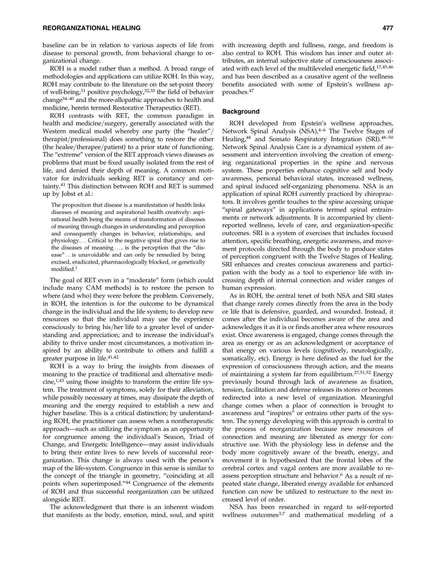baseline can be in relation to various aspects of life from disease to personal growth, from behavioral change to organizational change.

ROH is a model rather than a method. A broad range of methodologies and applications can utilize ROH. In this way, ROH may contribute to the literature on the set-point theory of well-being, $31$  positive psychology, $32,33$  the field of behavior change34–40 and the more-allopathic approaches to health and medicine, herein termed Restorative Therapeutics (RET).

ROH contrasts with RET, the common paradigm in health and medicine/surgery, generally associated with the Western medical model whereby one party (the "healer"/ therapist/professional) does something to restore the other (the healee/therapee/patient) to a prior state of functioning. The "extreme" version of the RET approach views diseases as problems that must be fixed usually isolated from the rest of life, and denied their depth of meaning. A common motivator for individuals seeking RET is constancy and certainty.<sup>41</sup> This distinction between ROH and RET is summed up by Jobst et al.:

The proposition that disease is a manifestation of health links diseases of meaning and aspirational health creatively: aspirational health being the means of transformation of diseases of meaning through changes in understanding and perception and consequently changes in behavior, relationships, and physiology.…Critical to the negative spiral that gives rise to the diseases of meaning ..., is the perception that the "disease'' …is unavoidable and can only be remedied by being excised, eradicated, pharmacologically blocked, or genetically modified.1

The goal of RET even in a "moderate" form (which could include many CAM methods) is to restore the person to where (and who) they were before the problem. Conversely, in ROH, the intention is for the outcome to be dynamical change in the individual and the life system; to develop new resources so that the individual may use the experience consciously to bring his/her life to a greater level of understanding and appreciation; and to increase the individual's ability to thrive under most circumstances, a motivation inspired by an ability to contribute to others and fulfill a greater purpose in life.41,42

ROH is a way to bring the insights from diseases of meaning to the practice of traditional and alternative medi- $\frac{\text{cine}}{\text{43}}$  using those insights to transform the entire life system. The treatment of symptoms, solely for their alleviation, while possibly necessary at times, may dissipate the depth of meaning and the energy required to establish a new and higher baseline. This is a critical distinction; by understanding ROH, the practitioner can assess when a nontherapeutic approach—such as utilizing the symptom as an opportunity for congruence among the individual's Season, Triad of Change, and Energetic Intelligence—may assist individuals to bring their entire lives to new levels of successful reorganization. This change is always used with the person's map of the life-system. Congruence in this sense is similar to the concept of the triangle in geometry, "coinciding at all points when superimposed.''<sup>44</sup> Congruence of the elements of ROH and thus successful reorganization can be utilized alongside RET.

The acknowledgment that there is an inherent wisdom that manifests as the body, emotion, mind, soul, and spirit with increasing depth and fullness, range, and freedom is also central to ROH. This wisdom has inner and outer attributes, an internal subjective state of consciousness associated with each level of the multileveled energetic field,<sup>17,45,46</sup> and has been described as a causative agent of the wellness benefits associated with some of Epstein's wellness approaches.<sup>47</sup>

### **Background**

ROH developed from Epstein's wellness approaches, Network Spinal Analysis (NSA),<sup>4-6</sup> The Twelve Stages of Healing,<sup>48</sup> and Somato Respiratory Integration (SRI).<sup>48–50</sup> Network Spinal Analysis Care is a dynamical system of assessment and intervention involving the creation of emerging organizational properties in the spine and nervous system. These properties enhance cognitive self and body awareness, personal behavioral states, increased wellness, and spinal induced self-organizing phenomena. NSA is an application of spinal ROH currently practiced by chiropractors. It involves gentle touches to the spine accessing unique "spinal gateways" in applications termed spinal entrainments or network adjustments. It is accompanied by clientreported wellness, levels of care, and organization-specific outcomes. SRI is a system of exercises that includes focused attention, specific breathing, energetic awareness, and movement protocols directed through the body to produce states of perception congruent with the Twelve Stages of Healing. SRI enhances and creates conscious awareness and participation with the body as a tool to experience life with increasing depth of internal connection and wider ranges of human expression.

As in ROH, the central tenet of both NSA and SRI states that change rarely comes directly from the area in the body or life that is defensive, guarded, and wounded. Instead, it comes after the individual becomes aware of the area and acknowledges it as it is or finds another area where resources exist. Once awareness is engaged, change comes through the area as energy or as an acknowledgment or acceptance of that energy on various levels (cognitively, neurologically, somatically, etc). Energy is here defined as the fuel for the expression of consciousness through action, and the means of maintaining a system far from equilibrium.<sup>27,51,52</sup> Energy previously bound through lack of awareness as fixation, tension, facilitation and defense releases its stores or becomes redirected into a new level of organization. Meaningful change comes when a place of connection is brought to awareness and ''inspires'' or entrains other parts of the system. The synergy developing with this approach is central to the process of reorganization because new resources of connection and meaning are liberated as energy for constructive use. With the physiology less in defense and the body more cognitively aware of the breath, energy, and movement it is hypothesized that the frontal lobes of the cerebral cortex and vagal centers are more available to reassess perception structure and behavior.6 As a result of repeated state change, liberated energy available for enhanced function can now be utilized to restructure to the next increased level of order.

NSA has been researched in regard to self-reported wellness outcomes $3,7$  and mathematical modeling of a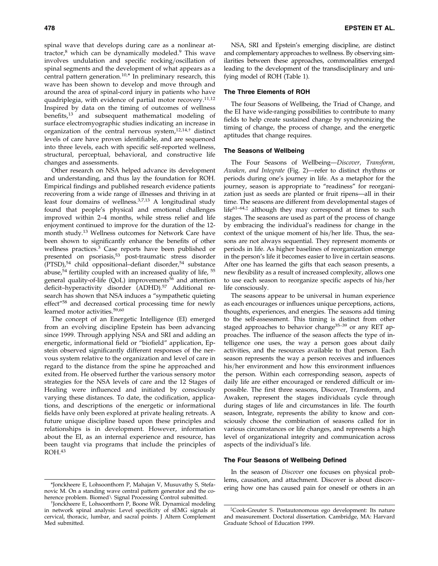spinal wave that develops during care as a nonlinear attractor, $8$  which can be dynamically modeled. $9$  This wave involves undulation and specific rocking/oscillation of spinal segments and the development of what appears as a central pattern generation.10,\* In preliminary research, this wave has been shown to develop and move through and around the area of spinal-cord injury in patients who have quadriplegia, with evidence of partial motor recovery.<sup>11,12</sup> Inspired by data on the timing of outcomes of wellness benefits,<sup>13</sup> and subsequent mathematical modeling of surface electromyographic studies indicating an increase in organization of the central nervous system,<sup>12,14,†</sup> distinct levels of care have proven identifiable, and are sequenced into three levels, each with specific self-reported wellness, structural, perceptual, behavioral, and constructive life changes and assessments.

Other research on NSA helped advance its development and understanding, and thus lay the foundation for ROH. Empirical findings and published research evidence patients recovering from a wide range of illnesses and thriving in at least four domains of wellness. $3,7,13$  A longitudinal study found that people's physical and emotional challenges improved within 2–4 months, while stress relief and life enjoyment continued to improve for the duration of the 12 month study.<sup>13</sup> Wellness outcomes for Network Care have been shown to significantly enhance the benefits of other wellness practices.<sup>3</sup> Case reports have been published or presented on psoriasis,<sup>53</sup> post-traumatic stress disorder  $(PTSD)$ ,<sup>54</sup> child oppositional–defiant disorder,<sup>54</sup> substance abuse, $54$  fertility coupled with an increased quality of life,  $55$ general quality-of-life  $(QoL)$  improvements<sup>56</sup> and attention deficit-hyperactivity disorder (ADHD).<sup>57</sup> Additional research has shown that NSA induces a "sympathetic quieting" effect''<sup>58</sup> and decreased cortical processing time for newly learned motor activities.59,60

The concept of an Energetic Intelligence (EI) emerged from an evolving discipline Epstein has been advancing since 1999. Through applying NSA and SRI and adding an energetic, informational field or ''biofield'' application, Epstein observed significantly different responses of the nervous system relative to the organization and level of care in regard to the distance from the spine he approached and exited from. He observed further the various sensory motor strategies for the NSA levels of care and the 12 Stages of Healing were influenced and initiated by consciously varying these distances. To date, the codification, applications, and descriptions of the energetic or informational fields have only been explored at private healing retreats. A future unique discipline based upon these principles and relationships is in development. However, information about the EI, as an internal experience and resource, has been taught via programs that include the principles of ROH.<sup>43</sup>

novic M. On a standing wave central pattern generator and the coherence problem. Biomed\ Signal Processing Control submitted.

NSA, SRI and Epstein's emerging discipline, are distinct and complementary approaches to wellness. By observing similarities between these approaches, commonalities emerged leading to the development of the transdisciplinary and unifying model of ROH (Table 1).

### The Three Elements of ROH

The four Seasons of Wellbeing, the Triad of Change, and the EI have wide-ranging possibilities to contribute to many fields to help create sustained change by synchronizing the timing of change, the process of change, and the energetic aptitudes that change requires.

### The Seasons of Wellbeing

The Four Seasons of Wellbeing—Discover, Transform, Awaken, and Integrate (Fig. 2)—refer to distinct rhythms or periods during one's journey in life. As a metaphor for the journey, season is appropriate to ''readiness'' for reorganization just as seeds are planted or fruit ripens—all in their time. The seasons are different from developmental stages of life $61-64,$  although they may correspond at times to such stages. The seasons are used as part of the process of change by embracing the individual's readiness for change in the context of the unique moment of his/her life. Thus, the seasons are not always sequential. They represent moments or periods in life. As higher baselines of reorganization emerge in the person's life it becomes easier to live in certain seasons. After one has learned the gifts that each season presents, a new flexibility as a result of increased complexity, allows one to use each season to reorganize specific aspects of his/her life consciously.

The seasons appear to be universal in human experience as each encourages or influences unique perceptions, actions, thoughts, experiences, and energies. The seasons add timing to the self-assessment. This timing is distinct from other staged approaches to behavior change<sup>35-39</sup> or any RET approaches. The influence of the season affects the type of intelligence one uses, the way a person goes about daily activities, and the resources available to that person. Each season represents the way a person receives and influences his/her environment and how this environment influences the person. Within each corresponding season, aspects of daily life are either encouraged or rendered difficult or impossible. The first three seasons, Discover, Transform, and Awaken, represent the stages individuals cycle through during stages of life and circumstances in life. The fourth season, Integrate, represents the ability to know and consciously choose the combination of seasons called for in various circumstances or life changes, and represents a high level of organizational integrity and communication across aspects of the individual's life.

### The Four Seasons of Wellbeing Defined

In the season of Discover one focuses on physical problems, causation, and attachment. Discover is about discov-\*Jonckheere E, Lohsoonthorn P, Mahajan V, Musuvathy S, Stefa-<br>in an \*Jonckheere E, Lohsoonthorn P, Mahajan V, Musuvathy S, Stefa-<br>ering how one has caused pain for oneself or others in an

<sup>{</sup>Jonckheere E, Lohsoonthorn P, Boone WR. Dynamical modeling in network spinal analysis: Level specificity of sEMG signals at cervical, thoracic, lumbar, and sacral points. J Altern Complement Med submitted.

<sup>{</sup>Cook-Greuter S. Postautonomous ego development: Its nature and measurement. Doctoral dissertation. Cambridge, MA: Harvard Graduate School of Education 1999.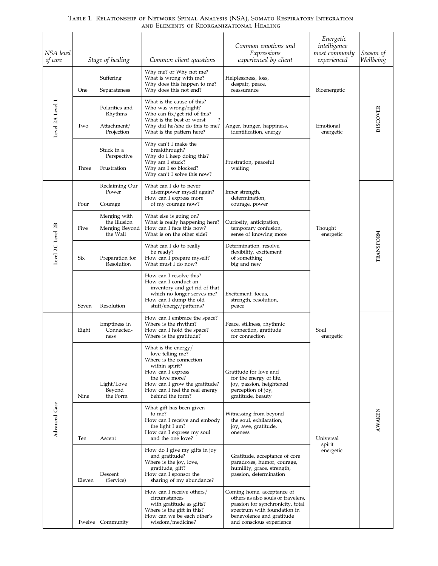# Table 1. Relationship of Network Spinal Analysis (NSA), Somato Respiratory Integration and Elements of Reorganizational Healing

| NSA level<br>of care |        | Stage of healing                                           | Common client questions                                                                                                                                                                                            | Common emotions and<br>Expressions<br>experienced by client                                                                                                                                  | Energetic<br>intelligence<br>most commonly<br>experienced | Season of<br>Wellbeing |
|----------------------|--------|------------------------------------------------------------|--------------------------------------------------------------------------------------------------------------------------------------------------------------------------------------------------------------------|----------------------------------------------------------------------------------------------------------------------------------------------------------------------------------------------|-----------------------------------------------------------|------------------------|
|                      | One    | Suffering<br>Separateness                                  | Why me? or Why not me?<br>What is wrong with me?<br>Why does this happen to me?<br>Why does this not end?                                                                                                          | Helplessness, loss,<br>despair, peace,<br>reassurance                                                                                                                                        | Bioenergetic                                              |                        |
| Level 2A Level 1     | Two    | Polarities and<br>Rhythms<br>Attachment/<br>Projection     | What is the cause of this?<br>Who was wrong/right?<br>Who can fix/get rid of this?<br>What is the best or worst<br>Why did he/she do this to me?<br>What is the pattern here?                                      | Anger, hunger, happiness,<br>identification, energy                                                                                                                                          | Emotional<br>energetic                                    | <b>DISCOVER</b>        |
|                      | Three  | Stuck in a<br>Perspective<br>Frustration                   | Why can't I make the<br>breakthrough?<br>Why do I keep doing this?<br>Why am I stuck?<br>Why am I so blocked?<br>Why can't I solve this now?                                                                       | Frustration, peaceful<br>waiting                                                                                                                                                             |                                                           |                        |
|                      | Four   | Reclaiming Our<br>Power<br>Courage                         | What can I do to never<br>disempower myself again?<br>How can I express more<br>of my courage now?                                                                                                                 | Inner strength,<br>determination,<br>courage, power                                                                                                                                          |                                                           |                        |
|                      | Five   | Merging with<br>the Illusion<br>Merging Beyond<br>the Wall | What else is going on?<br>What is really happening here?<br>How can I face this now?<br>What is on the other side?                                                                                                 | Curiosity, anticipation,<br>temporary confusion,<br>sense of knowing more                                                                                                                    | Thought<br>energetic                                      |                        |
| Level 2C Level 2B    | Six    | Preparation for<br>Resolution                              | What can I do to really<br>be ready?<br>How can I prepare myself?<br>What must I do now?                                                                                                                           | Determination, resolve,<br>flexibility, excitement<br>of something<br>big and new                                                                                                            |                                                           | TRANSFORM              |
|                      | Seven  | Resolution                                                 | How can I resolve this?<br>How can I conduct an<br>inventory and get rid of that<br>which no longer serves me?<br>How can I dump the old<br>stuff/energy/patterns?                                                 | Excitement, focus,<br>strength, resolution,<br>peace                                                                                                                                         |                                                           |                        |
|                      | Eight  | Emptiness in<br>Connected-<br>ness                         | How can I embrace the space?<br>Where is the rhythm?<br>How can I hold the space?<br>Where is the gratitude?                                                                                                       | Peace, stillness, rhythmic<br>connection, gratitude<br>for connection                                                                                                                        | Soul<br>energetic                                         |                        |
|                      | Nine   | Light/Love<br>Beyond<br>the Form                           | What is the energy/<br>love telling me?<br>Where is the connection<br>within spirit?<br>How can I express<br>the love more?<br>How can I grow the gratitude?<br>How can I feel the real energy<br>behind the form? | Gratitude for love and<br>for the energy of life,<br>joy, passion, heightened<br>perception of joy,<br>gratitude, beauty                                                                     |                                                           |                        |
| Advanced Care        | Ten    | Ascent                                                     | What gift has been given<br>to me?<br>How can I receive and embody<br>the light I am?<br>How can I express my soul<br>and the one love?                                                                            | Witnessing from beyond<br>the soul, exhilaration,<br>joy, awe, gratitude,<br>oneness                                                                                                         | Universal                                                 | <b>AWAKEN</b>          |
|                      | Eleven | Descent<br>(Service)                                       | How do I give my gifts in joy<br>and gratitude?<br>Where is the joy, love,<br>gratitude, gift?<br>How can I sponsor the<br>sharing of my abundance?                                                                | Gratitude, acceptance of core<br>paradoxes, humor, courage,<br>humility, grace, strength,<br>passion, determination                                                                          | spirit<br>energetic                                       |                        |
|                      |        | Twelve Community                                           | How can I receive others/<br>circumstances<br>with gratitude as gifts?<br>Where is the gift in this?<br>How can we be each other's<br>wisdom/medicine?                                                             | Coming home, acceptance of<br>others as also souls or travelers,<br>passion for synchronicity, total<br>spectrum with foundation in<br>benevolence and gratitude<br>and conscious experience |                                                           |                        |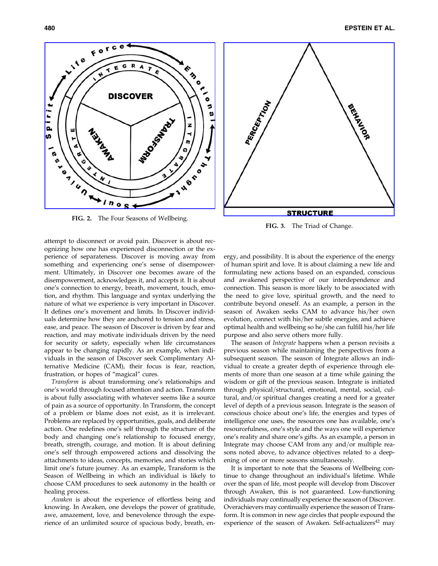

attempt to disconnect or avoid pain. Discover is about recognizing how one has experienced disconnection or the experience of separateness. Discover is moving away from something and experiencing one's sense of disempowerment. Ultimately, in Discover one becomes aware of the disempowerment, acknowledges it, and accepts it. It is about one's connection to energy, breath, movement, touch, emotion, and rhythm. This language and syntax underlying the nature of what we experience is very important in Discover. It defines one's movement and limits. In Discover individuals determine how they are anchored to tension and stress, ease, and peace. The season of Discover is driven by fear and reaction, and may motivate individuals driven by the need for security or safety, especially when life circumstances appear to be changing rapidly. As an example, when individuals in the season of Discover seek Complimentary Alternative Medicine (CAM), their focus is fear, reaction, frustration, or hopes of "magical" cures.

Transform is about transforming one's relationships and one's world through focused attention and action. Transform is about fully associating with whatever seems like a source of pain as a source of opportunity. In Transform, the concept of a problem or blame does not exist, as it is irrelevant. Problems are replaced by opportunities, goals, and deliberate action. One redefines one's self through the structure of the body and changing one's relationship to focused energy, breath, strength, courage, and motion. It is about defining one's self through empowered actions and dissolving the attachments to ideas, concepts, memories, and stories which limit one's future journey. As an example, Transform is the Season of Wellbeing in which an individual is likely to choose CAM procedures to seek autonomy in the health or healing process.

Awaken is about the experience of effortless being and knowing. In Awaken, one develops the power of gratitude, awe, amazement, love, and benevolence through the experience of an unlimited source of spacious body, breath, en-



FIG. 3. The Triad of Change.

ergy, and possibility. It is about the experience of the energy of human spirit and love. It is about claiming a new life and formulating new actions based on an expanded, conscious and awakened perspective of our interdependence and connection. This season is more likely to be associated with the need to give love, spiritual growth, and the need to contribute beyond oneself. As an example, a person in the season of Awaken seeks CAM to advance his/her own evolution, connect with his/her subtle energies, and achieve optimal health and wellbeing so he/she can fulfill his/her life purpose and also serve others more fully.

The season of Integrate happens when a person revisits a previous season while maintaining the perspectives from a subsequent season. The season of Integrate allows an individual to create a greater depth of experience through elements of more than one season at a time while gaining the wisdom or gift of the previous season. Integrate is initiated through physical/structural, emotional, mental, social, cultural, and/or spiritual changes creating a need for a greater level of depth of a previous season. Integrate is the season of conscious choice about one's life, the energies and types of intelligence one uses, the resources one has available, one's resourcefulness, one's style and the ways one will experience one's reality and share one's gifts. As an example, a person in Integrate may choose CAM from any and/or multiple reasons noted above, to advance objectives related to a deepening of one or more seasons simultaneously.

It is important to note that the Seasons of Wellbeing continue to change throughout an individual's lifetime. While over the span of life, most people will develop from Discover through Awaken, this is not guaranteed. Low-functioning individuals may continually experience the season of Discover. Overachievers may continually experience the season of Transform. It is common in new age circles that people expound the experience of the season of Awaken. Self-actualizers<sup>42</sup> may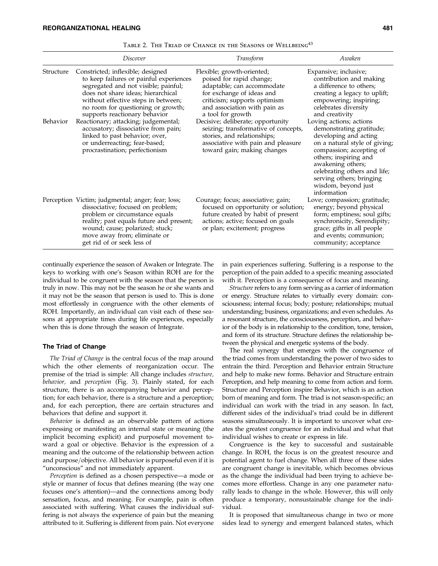|           | Discover                                                                                                                                                                                                                                                                 | Transform                                                                                                                                                                                              | Awaken                                                                                                                                                                                                                                                                                    |
|-----------|--------------------------------------------------------------------------------------------------------------------------------------------------------------------------------------------------------------------------------------------------------------------------|--------------------------------------------------------------------------------------------------------------------------------------------------------------------------------------------------------|-------------------------------------------------------------------------------------------------------------------------------------------------------------------------------------------------------------------------------------------------------------------------------------------|
| Structure | Constricted; inflexible; designed<br>to keep failures or painful experiences<br>segregated and not visible; painful;<br>does not share ideas; hierarchical<br>without effective steps in between;<br>no room for questioning or growth;<br>supports reactionary behavior | Flexible; growth-oriented;<br>poised for rapid change;<br>adaptable; can accommodate<br>for exchange of ideas and<br>criticism; supports optimism<br>and association with pain as<br>a tool for growth | Expansive; inclusive;<br>contribution and making<br>a difference to others;<br>creating a legacy to uplift;<br>empowering; inspiring;<br>celebrates diversity<br>and creativity                                                                                                           |
| Behavior  | Reactionary; attacking; judgemental;<br>accusatory; dissociative from pain;<br>linked to past behavior; over,<br>or underreacting; fear-based;<br>procrastination; perfectionism                                                                                         | Decisive; deliberate; opportunity<br>seizing; transformative of concepts,<br>stories, and relationships;<br>associative with pain and pleasure<br>toward gain; making changes                          | Loving actions; actions<br>demonstrating gratitude;<br>developing and acting<br>on a natural style of giving;<br>compassion; accepting of<br>others; inspiring and<br>awakening others;<br>celebrating others and life;<br>serving others; bringing<br>wisdom, beyond just<br>information |
|           | Perception Victim; judgmental; anger; fear; loss;<br>dissociative; focused on problem;<br>problem or circumstance equals<br>reality; past equals future and present;<br>wound; cause; polarized; stuck;<br>move away from; eliminate or<br>get rid of or seek less of    | Courage; focus; associative; gain;<br>focused on opportunity or solution;<br>future created by habit of present<br>actions; active; focused on goals<br>or plan; excitement; progress                  | Love; compassion; gratitude;<br>energy; beyond physical<br>form; emptiness; soul gifts;<br>synchronicity, Serendipity;<br>grace; gifts in all people<br>and events; communion;<br>community; acceptance                                                                                   |

TABLE 2. THE TRIAD OF CHANGE IN THE SEASONS OF WELLBEING<sup>43</sup>

continually experience the season of Awaken or Integrate. The keys to working with one's Season within ROH are for the individual to be congruent with the season that the person is truly in now. This may not be the season he or she wants and it may not be the season that person is used to. This is done most effortlessly in congruence with the other elements of ROH. Importantly, an individual can visit each of these seasons at appropriate times during life experiences, especially when this is done through the season of Integrate.

### The Triad of Change

The Triad of Change is the central focus of the map around which the other elements of reorganization occur. The premise of the triad is simple: All change includes structure, behavior, and perception (Fig. 3). Plainly stated, for each structure, there is an accompanying behavior and perception; for each behavior, there is a structure and a perception; and, for each perception, there are certain structures and behaviors that define and support it.

Behavior is defined as an observable pattern of actions expressing or manifesting an internal state or meaning (the implicit becoming explicit) and purposeful movement toward a goal or objective. Behavior is the expression of a meaning and the outcome of the relationship between action and purpose/objective. All behavior is purposeful even if it is ''unconscious'' and not immediately apparent.

Perception is defined as a chosen perspective—a mode or style or manner of focus that defines meaning (the way one focuses one's attention)—and the connections among body sensation, focus, and meaning. For example, pain is often associated with suffering. What causes the individual suffering is not always the experience of pain but the meaning attributed to it. Suffering is different from pain. Not everyone in pain experiences suffering. Suffering is a response to the perception of the pain added to a specific meaning associated with it. Perception is a consequence of focus and meaning.

Structure refers to any form serving as a carrier of information or energy. Structure relates to virtually every domain: consciousness; internal focus; body; posture; relationships; mutual understanding; business, organizations; and even schedules. As a resonant structure, the consciousness, perception, and behavior of the body is in relationship to the condition, tone, tension, and form of its structure. Structure defines the relationship between the physical and energetic systems of the body.

The real synergy that emerges with the congruence of the triad comes from understanding the power of two sides to entrain the third. Perception and Behavior entrain Structure and help to make new forms. Behavior and Structure entrain Perception, and help meaning to come from action and form. Structure and Perception inspire Behavior, which is an action born of meaning and form. The triad is not season-specific; an individual can work with the triad in any season. In fact, different sides of the individual's triad could be in different seasons simultaneously. It is important to uncover what creates the greatest congruence for an individual and what that individual wishes to create or express in life.

Congruence is the key to successful and sustainable change. In ROH, the focus is on the greatest resource and potential agent to fuel change. When all three of these sides are congruent change is inevitable, which becomes obvious as the change the individual had been trying to achieve becomes more effortless. Change in any one parameter naturally leads to change in the whole. However, this will only produce a temporary, nonsustainable change for the individual.

It is proposed that simultaneous change in two or more sides lead to synergy and emergent balanced states, which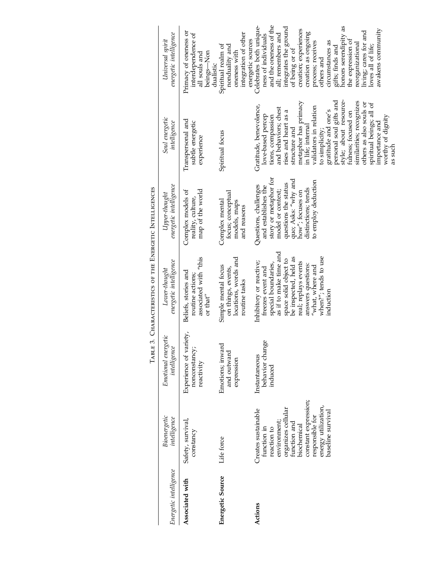|                        |                                                                                                                                                                                                               | Тавів 3.                                              | CHARACTERISTICS OF THE ENERGETIC INTELLIGENCES                                                                                                                                                                                                         |                                                                                                                                                                                                             |                                                                                                                                                                                                                                                                                                                                                                                                                                                                        |                                                                                                                                                                                                                                                                                                                                                                                                                                 |
|------------------------|---------------------------------------------------------------------------------------------------------------------------------------------------------------------------------------------------------------|-------------------------------------------------------|--------------------------------------------------------------------------------------------------------------------------------------------------------------------------------------------------------------------------------------------------------|-------------------------------------------------------------------------------------------------------------------------------------------------------------------------------------------------------------|------------------------------------------------------------------------------------------------------------------------------------------------------------------------------------------------------------------------------------------------------------------------------------------------------------------------------------------------------------------------------------------------------------------------------------------------------------------------|---------------------------------------------------------------------------------------------------------------------------------------------------------------------------------------------------------------------------------------------------------------------------------------------------------------------------------------------------------------------------------------------------------------------------------|
| Energetic intelligence | Bioenergetic<br>intelligence                                                                                                                                                                                  | Emotional energetic<br>intelligence                   | energetic intelligence<br>Lower-thought                                                                                                                                                                                                                | energetic intelligence<br>Upper-thought                                                                                                                                                                     | Soul energetic<br>intelligence                                                                                                                                                                                                                                                                                                                                                                                                                                         | energetic intelligence<br>Universal spirit                                                                                                                                                                                                                                                                                                                                                                                      |
| Associated with        | Safety, survival,<br>constancy                                                                                                                                                                                | Experience of variety,<br>nonconstancy;<br>reactivity | associated with "this<br>Beliefs, stories and<br>routine actions;<br>or that"                                                                                                                                                                          | map of the world<br>Complex models of<br>reality, culture,                                                                                                                                                  | Transpersonal and<br>subtle energetic<br>experience                                                                                                                                                                                                                                                                                                                                                                                                                    | Primacy of oneness or<br>interdependence of<br>beings-Non<br>all souls and<br>dualistic                                                                                                                                                                                                                                                                                                                                         |
| Energetic Source       | Life force                                                                                                                                                                                                    | Emotions; inward<br>and outward<br>expression         | locations, words and<br>Simple mental focus<br>on things, events,<br>routine tasks                                                                                                                                                                     | focus; conceptual<br>Complex mental<br>models, maps<br>and reasons                                                                                                                                          | Spiritual focus                                                                                                                                                                                                                                                                                                                                                                                                                                                        | integration of other<br>Spiritual realm of<br>nonduality and<br>oneness with                                                                                                                                                                                                                                                                                                                                                    |
| Actions                | constant expression;<br>energy utilization,<br>organizes cellular<br>Creates sustainable<br>baseline survival<br>responsible for<br>environment;<br>function and<br>biochemical<br>function in<br>reaction to | behavior change<br>Instantaneous<br>induced           | as if to make time and<br>be inspected, held as<br>when?"; tends to use<br>space solid object to<br>Inhibitory or reactive;<br>real; replays events<br>special boundaries,<br>answers questions:<br>"what, where and<br>freezes event and<br>induction | story or metaphor for<br>quo; Asks: "why and<br>to employ deduction<br>questions the status<br>Questions, challenges<br>and establishes the<br>distinctions; tends<br>model or context;<br>how"; focuses on | style; about resource-<br>personal soul gifts and<br>similarities; recognizes<br>metaphor has primacy<br>others as also souls or<br>spiritual beings; all of<br>Gratitude, benevolence,<br>validators in relation<br>and behaviors; chest<br>gratitude and one's<br>a<br>fulness; focused on<br>rises and heart as<br>love-based percep<br>worthy of dignity<br>tions, compassion<br>importance and<br>in life; internal<br>structure and<br>to simplicity;<br>as such | and the oneness of the<br>nonors serendipity as<br>Celebrates both unique-<br>integrates the ground<br>of being or of<br>awakens community<br>creation; experiences<br>living; cares for and<br>creation as ongoing<br>all; remembers and<br>ness of individuals<br>the expression of<br>energetic sources<br>circumstances as<br>process; receives<br>reorganizational<br>loves all of life;<br>gifts; finds and<br>others and |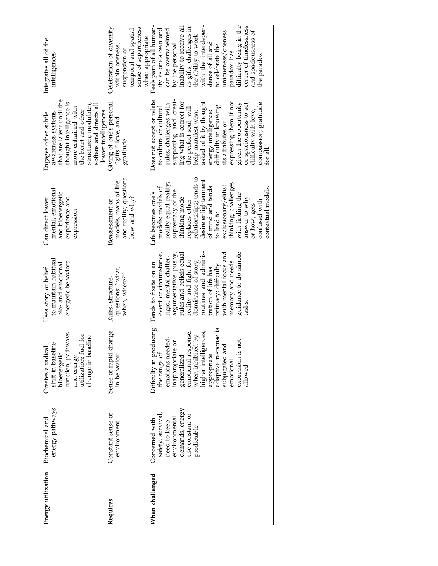| Energy utilization | energy pathways<br>Biochemical and                                                                                        | function, pathways<br>utilization; fuel for<br>change in baseline<br>shift in baseline<br>Creates a radical<br>bioenergetic<br>and energy                                                                                                                                                                    | Uses story or belief<br>to maintain habitual<br>energetic behaviors<br>bio- and emotional                                                                                                                                                                                                                   | mental, emotional<br>and bioenergetic<br>experience and<br>Can direct lower<br>expression                                                                                                                                                                                                                                            | that are latent until the<br>thought intelligence is<br>structures; modulates,<br>softens and directs all<br>more entrained with<br>the heart and other<br>lower intelligences<br>awareness systems<br>Engages other subtle                                                                                                                                                                                       | Integrates all of the<br>intelligences                                                                                                                                                                                                                                                                                                                                   |
|--------------------|---------------------------------------------------------------------------------------------------------------------------|--------------------------------------------------------------------------------------------------------------------------------------------------------------------------------------------------------------------------------------------------------------------------------------------------------------|-------------------------------------------------------------------------------------------------------------------------------------------------------------------------------------------------------------------------------------------------------------------------------------------------------------|--------------------------------------------------------------------------------------------------------------------------------------------------------------------------------------------------------------------------------------------------------------------------------------------------------------------------------------|-------------------------------------------------------------------------------------------------------------------------------------------------------------------------------------------------------------------------------------------------------------------------------------------------------------------------------------------------------------------------------------------------------------------|--------------------------------------------------------------------------------------------------------------------------------------------------------------------------------------------------------------------------------------------------------------------------------------------------------------------------------------------------------------------------|
| Requires           | Constant sense of<br>environment                                                                                          | Sense of rapid change<br>in behavior                                                                                                                                                                                                                                                                         | questions: "what,<br>when, where?"<br>Rules, structure,                                                                                                                                                                                                                                                     | and reality; questions<br>models, maps of life<br>how and why?<br>Reassessment of                                                                                                                                                                                                                                                    | Giving of one's personal<br>"gifts," love, and<br>gratitude                                                                                                                                                                                                                                                                                                                                                       | Celebration of diversity<br>sense of separateness<br>temporal and spatial<br>when appropriate<br>within oneness,<br>suspension of                                                                                                                                                                                                                                        |
| When challenged    | demands, energy<br>safety, survival,<br>need to keep<br>use constant or<br>environmental<br>Concerned with<br>predictable | Difficulty in producing Tends to fixate on an<br>appropriate <sup>-</sup><br>adaptive response is<br>emotional response;<br>higher intelligences,<br>when inhibited by<br>emotions needed;<br>expression is not<br>inappropriate or<br>subjugated and<br>the range of<br>generalized<br>emotional<br>allowed | routines and adminis-<br>guidance to do simple<br>event or circumstance,<br>argumentative, pushy,<br>with mental focus and<br>rules and beliefs equal<br>rigid, mental chatter,<br>dominance of story;<br>reality and fight for<br>memory and needs<br>primacy; difficulty<br>tration of life has<br>tasks. | relationships; tends to<br>desire enlightenment<br>reality equal reality;<br>thinking; challenges<br>exclusionary/elitist<br>of mind and tends<br>models; models of<br>supremacy of the<br>Life becomes one's<br>with finding the<br>answer to why<br>thinking mode<br>replaces other<br>confused with<br>or how; gets<br>to lead to | supporting and creat-<br>Does not accept or relate<br>asked of it by thought<br>expressing them if not<br>or spaciousness to act;<br>ing what is correct for<br>compassion, gratitude<br>given the opportunity<br>rules; challenges with<br>difficulty in knowing<br>to culture or cultural<br>the perfect soul; will<br>difficulty with love,<br>help manifest what<br>energy intelligence;<br>its attributes or | difficulty being in the<br>Feels pain of all human-<br>with the interdepen-<br>inability to receive all<br>center of timelessness<br>as gifts; challenges in<br>ity as one's own and<br>can be overwhelmed<br>and spaciousness of<br>uniqueness/oneness<br>the ability to work<br>dence of all and<br>by the personal<br>to celebrate the<br>paradox; has<br>the paradox |
|                    |                                                                                                                           |                                                                                                                                                                                                                                                                                                              |                                                                                                                                                                                                                                                                                                             | contextual models.                                                                                                                                                                                                                                                                                                                   | for all                                                                                                                                                                                                                                                                                                                                                                                                           |                                                                                                                                                                                                                                                                                                                                                                          |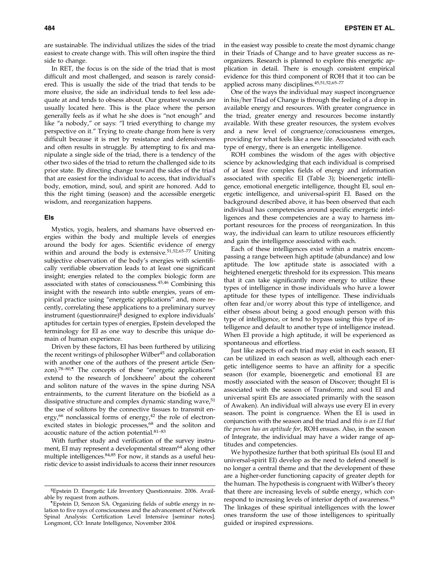are sustainable. The individual utilizes the sides of the triad easiest to create change with. This will often inspire the third side to change.

In RET, the focus is on the side of the triad that is most difficult and most challenged, and season is rarely considered. This is usually the side of the triad that tends to be more elusive, the side an individual tends to feel less adequate at and tends to obsess about. Our greatest wounds are usually located here. This is the place where the person generally feels as if what he she does is ''not enough'' and like "a nobody," or says: "I tried everything to change my perspective on it.'' Trying to create change from here is very difficult because it is met by resistance and defensiveness and often results in struggle. By attempting to fix and manipulate a single side of the triad, there is a tendency of the other two sides of the triad to return the challenged side to its prior state. By directing change toward the sides of the triad that are easiest for the individual to access, that individual's body, emotion, mind, soul, and spirit are honored. Add to this the right timing (season) and the accessible energetic wisdom, and reorganization happens.

### EIs

Mystics, yogis, healers, and shamans have observed energies within the body and multiple levels of energies around the body for ages. Scientific evidence of energy within and around the body is extensive. $51,52,65-77$  Uniting subjective observation of the body's energies with scientifically verifiable observation leads to at least one significant insight; energies related to the complex biologic form are associated with states of consciousness.45,46 Combining this insight with the research into subtle energies, years of empirical practice using ''energetic applications'' and, more recently, correlating these applications to a preliminary survey instrument (questionnaire)§ designed to explore individuals' aptitudes for certain types of energies, Epstein developed the terminology for EI as one way to describe this unique domain of human experience.

Driven by these factors, EI has been furthered by utilizing the recent writings of philosopher Wilber<sup>45</sup> and collaboration with another one of the authors of the present article (Senzon).78–80,} The concepts of these ''energetic applications'' extend to the research of Jonckheere<sup>†</sup> about the coherent and soliton nature of the waves in the spine during NSA entrainments, to the current literature on the biofield as a dissipative structure and complex dynamic standing wave,<sup>51</sup> the use of solitons by the connective tissues to transmit en- $\text{ergy},^{66}$  nonclassical forms of energy,<sup>42</sup> the role of electronexcited states in biologic processes,<sup>68</sup> and the soliton and acoustic nature of the action potential.81–83

With further study and verification of the survey instrument, EI may represent a developmental stream<sup>64</sup> along other multiple intelligences.84,85 For now, it stands as a useful heuristic device to assist individuals to access their inner resources

in the easiest way possible to create the most dynamic change in their Triads of Change and to have greater success as reorganizers. Research is planned to explore this energetic application in detail. There is enough consistent empirical evidence for this third component of ROH that it too can be applied across many disciplines.45,51,52,65–77

One of the ways the individual may suspect incongruence in his/her Triad of Change is through the feeling of a drop in available energy and resources. With greater congruence in the triad, greater energy and resources become instantly available. With these greater resources, the system evolves and a new level of congruence/consciousness emerges, providing for what feels like a new life. Associated with each type of energy, there is an energetic intelligence.

ROH combines the wisdom of the ages with objective science by acknowledging that each individual is comprised of at least five complex fields of energy and information associated with specific EI (Table 3); bioenergetic intelligence, emotional energetic intelligence, thought EI, soul energetic intelligence, and universal-spirit EI. Based on the background described above, it has been observed that each individual has competencies around specific energetic intelligences and these competencies are a way to harness important resources for the process of reorganization. In this way, the individual can learn to utilize resources efficiently and gain the intelligence associated with each.

Each of these intelligences exist within a matrix encompassing a range between high aptitude (abundance) and low aptitude. The low aptitude state is associated with a heightened energetic threshold for its expression. This means that it can take significantly more energy to utilize these types of intelligence in those individuals who have a lower aptitude for these types of intelligence. These individuals often fear and/or worry about this type of intelligence, and either obsess about being a good enough person with this type of intelligence, or tend to bypass using this type of intelligence and default to another type of intelligence instead. When EI provide a high aptitude, it will be experienced as spontaneous and effortless.

Just like aspects of each triad may exist in each season, EI can be utilized in each season as well, although each energetic intelligence seems to have an affinity for a specific season (for example, bioenergetic and emotional EI are mostly associated with the season of Discover; thought EI is associated with the season of Transform; and soul EI and universal spirit EIs are associated primarily with the season of Awaken). An individual will always use every EI in every season. The point is congruence. When the EI is used in conjunction with the season and the triad and this is an EI that the person has an aptitude for, ROH ensues. Also, in the season of Integrate, the individual may have a wider range of aptitudes and competencies.

We hypothesize further that both spiritual EIs (soul EI and universal-spirit EI) develop as the need to defend oneself is no longer a central theme and that the development of these are a higher-order functioning capacity of greater depth for the human. The hypothesis is congruent with Wilber's theory that there are increasing levels of subtle energy, which correspond to increasing levels of interior depth of awareness.<sup>45</sup> The linkages of these spiritual intelligences with the lower ones transform the use of those intelligences to spiritually guided or inspired expressions.

<sup>§</sup>Epstein D. Energetic Life Inventory Questionnaire. 2006. Available by request from authors.

<sup>}</sup>Epstein D, Senzon SA. Organizing fields of subtle energy in relation to five rays of consciousness and the advancement of Network Spinal Analysis: Certification Level Intensive [seminar notes]. Longmont, CO: Innate Intelligence, November 2004.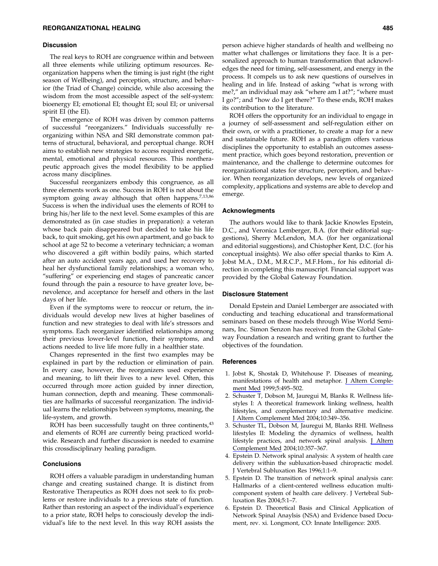### REORGANIZATIONAL HEALING 485

### **Discussion**

The real keys to ROH are congruence within and between all three elements while utilizing optimum resources. Reorganization happens when the timing is just right (the right season of Wellbeing), and perception, structure, and behavior (the Triad of Change) coincide, while also accessing the wisdom from the most accessible aspect of the self-system: bioenergy EI; emotional EI; thought EI; soul EI; or universal spirit EI (the EI).

The emergence of ROH was driven by common patterns of successful ''reorganizers.'' Individuals successfully reorganizing within NSA and SRI demonstrate common patterns of structural, behavioral, and perceptual change. ROH aims to establish new strategies to access required energetic, mental, emotional and physical resources. This nontherapeutic approach gives the model flexibility to be applied across many disciplines.

Successful reorganizers embody this congruence, as all three elements work as one. Success in ROH is not about the symptom going away although that often happens. $7,13,86$ Success is when the individual uses the elements of ROH to bring his/her life to the next level. Some examples of this are demonstrated as (in case studies in preparation): a veteran whose back pain disappeared but decided to take his life back, to quit smoking, get his own apartment, and go back to school at age 52 to become a veterinary technician; a woman who discovered a gift within bodily pains, which started after an auto accident years ago, and used her recovery to heal her dysfunctional family relationships; a woman who, "suffering" or experiencing end stages of pancreatic cancer found through the pain a resource to have greater love, benevolence, and acceptance for herself and others in the last days of her life.

Even if the symptoms were to reoccur or return, the individuals would develop new lives at higher baselines of function and new strategies to deal with life's stressors and symptoms. Each reorganizer identified relationships among their previous lower-level function, their symptoms, and actions needed to live life more fully in a healthier state.

Changes represented in the first two examples may be explained in part by the reduction or elimination of pain. In every case, however, the reorganizers used experience and meaning, to lift their lives to a new level. Often, this occurred through more action guided by inner direction, human connection, depth and meaning. These commonalities are hallmarks of successful reorganization. The individual learns the relationships between symptoms, meaning, the life-system, and growth.

ROH has been successfully taught on three continents,<sup>43</sup> and elements of ROH are currently being practiced worldwide. Research and further discussion is needed to examine this crossdisciplinary healing paradigm.

### **Conclusions**

ROH offers a valuable paradigm in understanding human change and creating sustained change. It is distinct from Restorative Therapeutics as ROH does not seek to fix problems or restore individuals to a previous state of function. Rather than restoring an aspect of the individual's experience to a prior state, ROH helps to consciously develop the individual's life to the next level. In this way ROH assists the

person achieve higher standards of health and wellbeing no matter what challenges or limitations they face. It is a personalized approach to human transformation that acknowledges the need for timing, self-assessment, and energy in the process. It compels us to ask new questions of ourselves in healing and in life. Instead of asking "what is wrong with me?," an individual may ask "where am I at?"; "where must I go?''; and ''how do I get there?'' To these ends, ROH makes its contribution to the literature.

ROH offers the opportunity for an individual to engage in a journey of self-assessment and self-regulation either on their own, or with a practitioner, to create a map for a new and sustainable future. ROH as a paradigm offers various disciplines the opportunity to establish an outcomes assessment practice, which goes beyond restoration, prevention or maintenance, and the challenge to determine outcomes for reorganizational states for structure, perception, and behavior. When reorganization develops, new levels of organized complexity, applications and systems are able to develop and emerge.

### Acknowlegments

The authors would like to thank Jackie Knowles Epstein, D.C., and Veronica Lemberger, B.A. (for their editorial suggestions), Sherry McLendon, M.A. (for her organizational and editorial suggestions), and Chistopher Kent, D.C. (for his conceptual insights). We also offer special thanks to Kim A. Jobst M.A., D.M., M.R.C.P., M.F.Hom., for his editorial direction in completing this manuscript. Financial support was provided by the Global Gateway Foundation.

### Disclosure Statement

Donald Epstein and Daniel Lemberger are associated with conducting and teaching educational and transformational seminars based on these models through Wise World Seminars, Inc. Simon Senzon has received from the Global Gateway Foundation a research and writing grant to further the objectives of the foundation.

#### **References**

- 1. Jobst K, Shostak D, Whitehouse P. Diseases of meaning, manifestations of health and metaphor. J Altern Complement Med 1999;5:495–502.
- 2. Schuster T, Dobson M, Jauregui M, Blanks R. Wellness lifestyles I: A theoretical framework linking wellness, health lifestyles, and complementary and alternative medicine. J Altern Complement Med 2004;10:349–356.
- 3. Schuster TL, Dobson M, Jauregui M, Blanks RHI. Wellness lifestyles II: Modeling the dynamics of wellness, health lifestyle practices, and network spinal analysis. J Altern Complement Med 2004;10:357–367.
- 4. Epstein D. Network spinal analysis: A system of health care delivery within the subluxation-based chiropractic model. J Vertebral Subluxation Res 1996;1:1–9.
- 5. Epstein D. The transition of network spinal analysis care: Hallmarks of a client-centered wellness education multicomponent system of health care delivery. J Vertebral Subluxation Res 2004;5:1–7.
- 6. Epstein D. Theoretical Basis and Clinical Application of Network Spinal Anaylsis (NSA) and Evidence based Document, rev. xi. Longmont, CO: Innate Intelligence: 2005.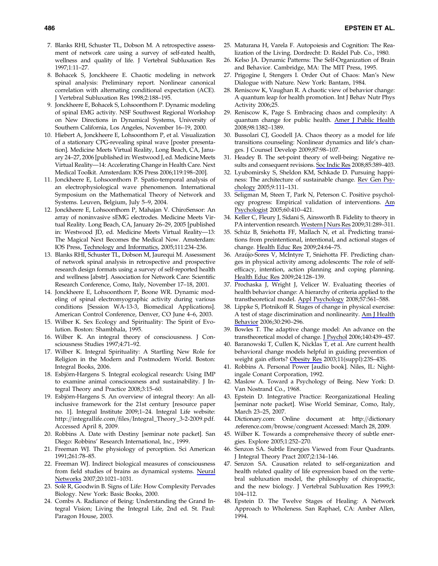- 7. Blanks RHI, Schuster TL, Dobson M. A retrospective assessment of network care using a survey of self-rated health, wellness and quality of life. J Vertebral Subluxation Res 1997;1:11–27.
- 8. Bohacek S, Jonckheere E. Chaotic modeling in network spinal analysis: Preliminary report. Nonlinear canonical correlation with alternating conditional expectation (ACE). J Vertebral Subluxation Res 1998;2:188–195.
- 9. Jonckheere E, Bohacek S, Lohsoonthorn P. Dynamic modeling of spinal EMG activity. NSF Southwest Regional Workshop on New Directions in Dynamical Systems, University of Southern California, Los Angeles, November 16–19, 2000.
- 10. Hiebert A, Jonckheere E, Lohsoonthorn P, et al. Visualization of a stationary CPG-revealing spinal wave [poster presentation]. Medicine Meets Virtual Reality, Long Beach, CA, January 24–27, 2006 [published in: Westwood J, ed. Medicine Meets Virtual Reality—14: Accelerating Change in Health Care. Next Medical Toolkit. Amsterdam: IOS Press 2006;119:198–200].
- 11. Jonckheere E, Lohsoonthorn P. Spatio-temporal analysis of an electrophysiological wave phenomenon. International Symposium on the Mathematical Theory of Network and Systems. Leuven, Belgium, July 5–9, 2004.
- 12. Jonckheere E, Lohsoonthorn P, Mahajan V. ChiroSensor: An array of noninvasive sEMG electrodes. Medicine Meets Virtual Reality. Long Beach, CA, January 26–29, 2005 [published in: Westwood JD, ed. Medicine Meets Virtual Reality—13: The Magical Next Becomes the Medical Now. Amsterdam: IOS Press, Technology and Informatics, 2005;111:234–236.
- 13. Blanks RHI, Schuster TL, Dobson M, Jaurequi M. Assessment of network spinal analysis in retrospective and prospective research design formats using a survey of self-reported health and wellness [abstr]. Association for Network Care: Scientific Research Conference, Como, Italy, November 17–18, 2001.
- 14. Jonckheere E, Lohsoonthorn P, Boone WR. Dynamic modeling of spinal electromyographic activity during various conditions [Session WA-13-3, Biomedical Applications]. American Control Conference, Denver, CO June 4–6, 2003.
- 15. Wilber K. Sex Ecology and Spirituality: The Spirit of Evolution. Boston: Shambhala, 1995.
- 16. Wilber K. An integral theory of consciousness. J Consciousness Studies 1997;4:71–92.
- 17. Wilber K. Integral Spirituality: A Startling New Role for Religion in the Modern and Postmodern World. Boston: Integral Books, 2006.
- 18. Esbjörn-Hargens S. Integral ecological research: Using IMP to examine animal consciousness and sustainability. J Integral Theory and Practice 2008;3:15–60.
- 19. Esbjörn-Hargens S. An overview of integral theory: An allinclusive framework for the 21st century [resource paper no. 1]. Integral Institute 2009;1–24. Integral Life website: http://integrallife.com/files/Integral\_Theory\_3-2-2009.pdf. Accessed April 8, 2009.
- 20. Robbins A. Date with Destiny [seminar note packet]. San Diego: Robbins' Research International, Inc., 1999.
- 21. Freeman WJ. The physiology of perception. Sci American 1991;261:78–85.
- 22. Freeman WJ. Indirect biological measures of consciousness from field studies of brains as dynamical systems. Neural Networks 2007;20:1021–1031.
- 23. Solè R, Goodwin B. Signs of Life: How Complexity Pervades Biology. New York: Basic Books, 2000.
- 24. Combs A. Radiance of Being: Understanding the Grand Integral Vision; Living the Integral Life, 2nd ed. St. Paul: Paragon House, 2003.
- 25. Maturana H, Varela F. Autopoiesis and Cognition: The Realization of the Living. Dordrecht: D. Reidel Pub. Co., 1980.
- 26. Kelso JA. Dynamic Patterns: The Self-Organization of Brain and Behavior. Cambridge, MA: The MIT Press, 1995.
- 27. Prigogine I, Stengers I. Order Out of Chaos: Man's New Dialogue with Nature. New York: Bantam, 1984.
- 28. Reniscow K, Vaughan R. A chaotic view of behavior change: A quantum leap for health promotion. Int J Behav Nutr Phys Activity 2006;25.
- 29. Reniscow K, Page S. Embracing chaos and complexity: A quantum change for public health. Amer J Public Health 2008;98:1382–1389.
- 30. Bussolari CJ, Goodell JA. Chaos theory as a model for life transitions counseling: Nonlinear dynamics and life's changes. J Counsel Develop 2009;87:98–107.
- 31. Headey B. The set-point theory of well-being: Negative results and consequent revisions. Soc Indic Res 2008;85:389–403.
- 32. Lyubomirsky S, Sheldon KM, Schkade D. Pursuing happiness: The architecture of sustainable change. Rev Gen Psychology 2005;9:111–131.
- 33. Seligman M, Steen T, Park N, Peterson C. Positive psychology progress: Empirical validation of interventions. Am Psychologist 2005;60:410–421.
- 34. Keller C, Fleury J, Sidani S, Ainsworth B. Fidelity to theory in PA intervention research. Western J Nurs Res 2009;31:289–311.
- 35. Schüz B, Sniehotta FF, Mallach N, et al. Predicting transitions from preintentional, intentional, and actional stages of change. Health Educ Res 2009;24:64–75.
- 36. Arau´jo-Sores V, McIntyre T, Sniehotta FF. Predicting changes in physical activity among adolescents: The role of selfefficacy, intention, action planning and coping planning. Health Educ Res 2009;24:128–139.
- 37. Prochaska J, Wright J, Velicer W. Evaluating theories of health behavior change: A hierarchy of criteria applied to the transtheoretical model. Appl Psychology 2008;57:561–588.
- 38. Lippke S, Plotnikoff R. Stages of change in physical exercise: A test of stage discrimination and nonlinearity. Am J Health Behavior 2006;30:290–296.
- 39. Bowles T. The adaptive change model: An advance on the transtheoretical model of change. J Psychol 2006;140:439–457.
- 40. Baranowski T, Cullen K, Nicklas T, et al. Are current health behavioral change models helpful in guiding prevention of weight gain efforts? Obesity Res 2003;11(suppl):23S–43S.
- 41. Robbins A. Personal Power [audio book]. Niles, IL: Nightingale Conant Corporation, 1992.
- 42. Maslow A. Toward a Psychology of Being. New York: D. Van Nostrand Co., 1968.
- 43. Epstein D. Integrative Practice: Reorganizational Healing [seminar note packet]. Wise World Seminar, Como, Italy, March 23–25, 2007.
- 44. Dictionary.com: Online document at: http://dictionary .reference.com=browse=congruent Accessed: March 28, 2009.
- 45. Wilber K. Towards a comprehensive theory of subtle energies. Explore 2005;1:252–270.
- 46. Senzon SA. Subtle Energies Viewed from Four Quadrants. J Integral Theory Pract 2007;2:134–146.
- 47. Senzon SA. Causation related to self-organization and health related quality of life expression based on the vertebral subluxation model, the philosophy of chiropractic, and the new biology. J Vertebral Subluxation Res 1999;3: 104–112.
- 48. Epstein D. The Twelve Stages of Healing: A Network Approach to Wholeness. San Raphael, CA: Amber Allen, 1994.